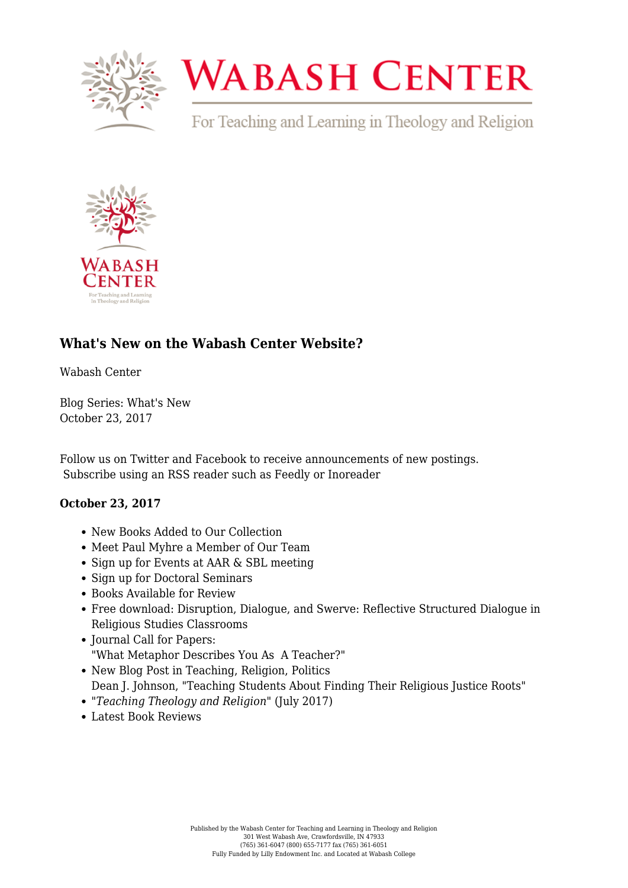

## **WABASH CENTER**

For Teaching and Learning in Theology and Religion



## **[What's New on the Wabash Center Website?](https://www.wabashcenter.wabash.edu/2017/10/whats-new-wabash-center-website/)**

Wabash Center

Blog Series: What's New October 23, 2017

Follow us on [Twitter](https://twitter.com/WabashTeaches) and [Facebook](https://www.facebook.com/WabashTeaches/) to receive announcements of new postings. [Subscribe](https://www.wabashcenter.wabash.edu/2017/05/whats-new-on-the-wabash-center-website/feed/) using an RSS reader such as [Feedly](https://feedly.com/i/welcome) or [Inoreader](https://play.google.com/store/apps/details?id=com.innologica.inoreader&hl=en)

## **October 23, 2017**

- [New Books Added to Our Collection](https://www.wabashcenter.wabash.edu/selected-resources/?post_ids=211988,211986,211980,211976,211974,211972,211970,212015)
- [Meet Paul Myhre a Member of Our Team](https://www.wabashcenter.wabash.edu/about/our-staff/paul-myhre-2/)
- [Sign up for Events at AAR & SBL meeting](https://www.wabashcenter.wabash.edu/programs/aar-sbl-2017/)
- [Sign up for Doctoral Seminars](https://www.wabashcenter.wabash.edu/programs/doctoral-student-seminars/)
- Books Available for Review
- Free download: [Disruption, Dialogue, and Swerve: Reflective Structured Dialogue in](http://onlinelibrary.wiley.com/doi/10.1111/teth.12398/full) [Religious Studies Classrooms](http://onlinelibrary.wiley.com/doi/10.1111/teth.12398/full)
- [Journal Call for Papers:](https://www.wabashcenter.wabash.edu/resources/ttr/write-for-the-journal/call-for-papers/submit-a-teaching-metaphor/) ["What Metaphor Describes You As A Teacher?"](https://www.wabashcenter.wabash.edu/resources/ttr/write-for-the-journal/call-for-papers/submit-a-teaching-metaphor/)
- [New Blog Post in Teaching, Religion, Politics](https://www.wabashcenter.wabash.edu/category/teaching-religion-politics/) [Dean J. Johnson, "Teaching Students About Finding Their Religious Justice Roots"](https://www.wabashcenter.wabash.edu/2017/08/teaching-students-finding-religious-justice-roots/)
- *["Teaching Theology and Religion"](https://www.wabashcenter.wabash.edu/resources/ttr/read-the-journal/current-issue/)* [\(July 2017\)](https://www.wabashcenter.wabash.edu/resources/ttr/read-the-journal/current-issue/)
- [Latest Book Reviews](https://www.wabashcenter.wabash.edu/resources/book-reviews/)